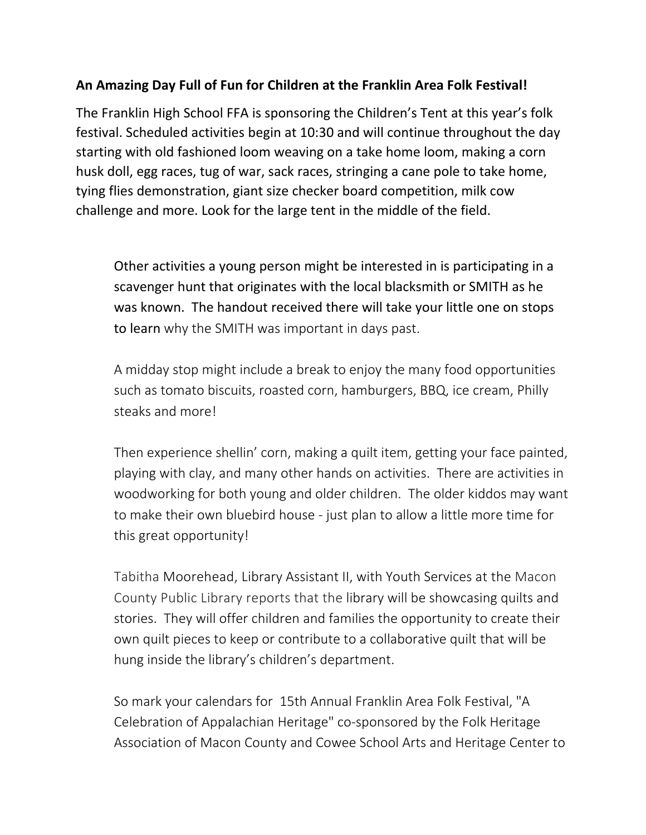## **An Amazing Day Full of Fun for Children at the Franklin Area Folk Festival!**

The Franklin High School FFA is sponsoring the Children's Tent at this year's folk festival. Scheduled activities begin at 10:30 and will continue throughout the day starting with old fashioned loom weaving on a take home loom, making a corn husk doll, egg races, tug of war, sack races, stringing a cane pole to take home, tying flies demonstration, giant size checker board competition, milk cow challenge and more. Look for the large tent in the middle of the field.

Other activities a young person might be interested in is participating in a scavenger hunt that originates with the local blacksmith or SMITH as he was known. The handout received there will take your little one on stops to learn why the SMITH was important in days past.

A midday stop might include a break to enjoy the many food opportunities such as tomato biscuits, roasted corn, hamburgers, BBQ, ice cream, Philly steaks and more!

Then experience shellin' corn, making a quilt item, getting your face painted, playing with clay, and many other hands on activities. There are activities in woodworking for both young and older children. The older kiddos may want to make their own bluebird house ‐ just plan to allow a little more time for this great opportunity!

Tabitha Moorehead, Library Assistant II, with Youth Services at the Macon County Public Library reports that the library will be showcasing quilts and stories. They will offer children and families the opportunity to create their own quilt pieces to keep or contribute to a collaborative quilt that will be hung inside the library's children's department.

So mark your calendars for 15th Annual Franklin Area Folk Festival, "A Celebration of Appalachian Heritage" co‐sponsored by the Folk Heritage Association of Macon County and Cowee School Arts and Heritage Center to